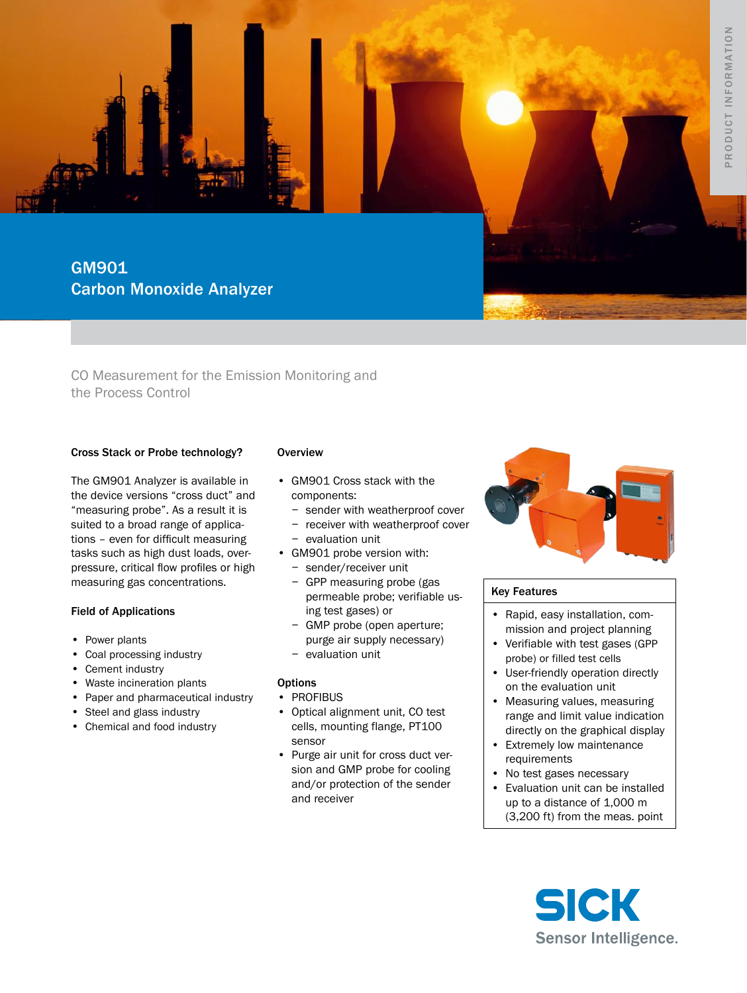GM901 Carbon Monoxide Analyzer

CO Measurement for the Emission Monitoring and the Process Control

## Cross Stack or Probe technology?

The GM901 Analyzer is available in the device versions "cross duct" and "measuring probe". As a result it is suited to a broad range of applications – even for difficult measuring tasks such as high dust loads, overpressure, critical flow profiles or high measuring gas concentrations.

## Field of Applications

- Power plants
- Coal processing industry
- Cement industry
- • Waste incineration plants
- • Paper and pharmaceutical industry
- Steel and glass industry
- Chemical and food industry

## **Overview**

- GM901 Cross stack with the components:
	- − sender with weatherproof cover
	- − receiver with weatherproof cover
- − evaluation unit • GM901 probe version with:
	- − sender/receiver unit
	- − GPP measuring probe (gas permeable probe; verifiable using test gases) or
	- − GMP probe (open aperture; purge air supply necessary) − evaluation unit
- **Options**
- • PROFIBUS
- Optical alignment unit, CO test cells, mounting flange, PT100 sensor
- • Purge air unit for cross duct version and GMP probe for cooling and/or protection of the sender and receiver



## Key Features

- Rapid, easy installation, commission and project planning
- • Verifiable with test gases (GPP probe) or filled test cells
- • User-friendly operation directly on the evaluation unit
- Measuring values, measuring range and limit value indication directly on the graphical display
- • Extremely low maintenance requirements
- No test gases necessary
- • Evaluation unit can be installed up to a distance of 1,000 m (3,200 ft) from the meas. point